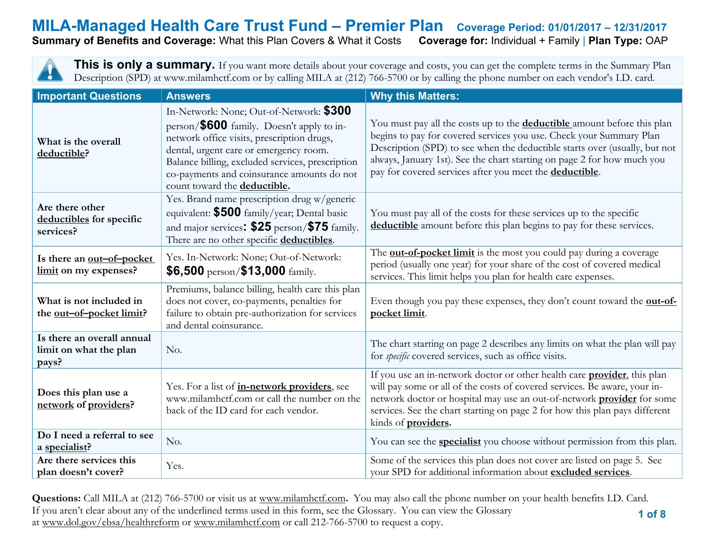**Summary of Benefits and Coverage: What this Plan Covers & What it Costs** 

This is only a summary. If you want more details about your coverage and costs, you can get the complete terms in the Summary Plan Description (SPD) at www.milamhctf.com or by calling MILA at (212) 766-5700 or by calling the phone number on each vendor's I.D. card.

| <b>Important Questions</b>                                    | <b>Answers</b>                                                                                                                                                                                                                                                                                                 | <b>Why this Matters:</b>                                                                                                                                                                                                                                                                                                                                                          |
|---------------------------------------------------------------|----------------------------------------------------------------------------------------------------------------------------------------------------------------------------------------------------------------------------------------------------------------------------------------------------------------|-----------------------------------------------------------------------------------------------------------------------------------------------------------------------------------------------------------------------------------------------------------------------------------------------------------------------------------------------------------------------------------|
| What is the overall<br>deductible?                            | In-Network: None; Out-of-Network: \$300<br>person/\$600 family. Doesn't apply to in-<br>network office visits, prescription drugs,<br>dental, urgent care or emergency room.<br>Balance billing, excluded services, prescription<br>co-payments and coinsurance amounts do not<br>count toward the deductible. | You must pay all the costs up to the <b>deductible</b> amount before this plan<br>begins to pay for covered services you use. Check your Summary Plan<br>Description (SPD) to see when the deductible starts over (usually, but not<br>always, January 1st). See the chart starting on page 2 for how much you<br>pay for covered services after you meet the <b>deductible</b> . |
| Are there other<br>deductibles for specific<br>services?      | Yes. Brand name prescription drug w/generic<br>equivalent: \$500 family/year; Dental basic<br>and major services: \$25 person/\$75 family.<br>There are no other specific deductibles.                                                                                                                         | You must pay all of the costs for these services up to the specific<br>deductible amount before this plan begins to pay for these services.                                                                                                                                                                                                                                       |
| Is there an out-of-pocket<br>limit on my expenses?            | Yes. In-Network: None; Out-of-Network:<br>$$6,500$ person/ $$13,000$ family.                                                                                                                                                                                                                                   | The <b>out-of-pocket limit</b> is the most you could pay during a coverage<br>period (usually one year) for your share of the cost of covered medical<br>services. This limit helps you plan for health care expenses.                                                                                                                                                            |
| What is not included in<br>the out-of-pocket limit?           | Premiums, balance billing, health care this plan<br>does not cover, co-payments, penalties for<br>failure to obtain pre-authorization for services<br>and dental coinsurance.                                                                                                                                  | Even though you pay these expenses, they don't count toward the <b>out-of-</b><br>pocket limit.                                                                                                                                                                                                                                                                                   |
| Is there an overall annual<br>limit on what the plan<br>pays? | No.                                                                                                                                                                                                                                                                                                            | The chart starting on page 2 describes any limits on what the plan will pay<br>for <i>specific</i> covered services, such as office visits.                                                                                                                                                                                                                                       |
| Does this plan use a<br>network of providers?                 | Yes. For a list of in-network providers, see<br>www.milamhctf.com or call the number on the<br>back of the ID card for each vendor.                                                                                                                                                                            | If you use an in-network doctor or other health care <b>provider</b> , this plan<br>will pay some or all of the costs of covered services. Be aware, your in-<br>network doctor or hospital may use an out-of-network <b>provider</b> for some<br>services. See the chart starting on page 2 for how this plan pays different<br>kinds of <b>providers</b> .                      |
| Do I need a referral to see<br>a specialist?                  | No.                                                                                                                                                                                                                                                                                                            | You can see the <b>specialist</b> you choose without permission from this plan.                                                                                                                                                                                                                                                                                                   |
| Are there services this<br>plan doesn't cover?                | Yes.                                                                                                                                                                                                                                                                                                           | Some of the services this plan does not cover are listed on page 5. See<br>your SPD for additional information about excluded services.                                                                                                                                                                                                                                           |

 **1 of 8 Questions:** Call MILA at (212) 766-5700 or visit us at [www.milamhctf.com](http://www.milamhctf.com/)**.** You may also call the phone number on your health benefits I.D. Card. If you aren't clear about any of the underlined terms used in this form, see the Glossary. You can view the Glossary at [www.dol.gov/ebsa/healthreform](http://www.dol.gov/ebsa/healthreform) or [www.milamhctf.com](http://www.milamhctf.com/) or call 212-766-5700 to request a copy.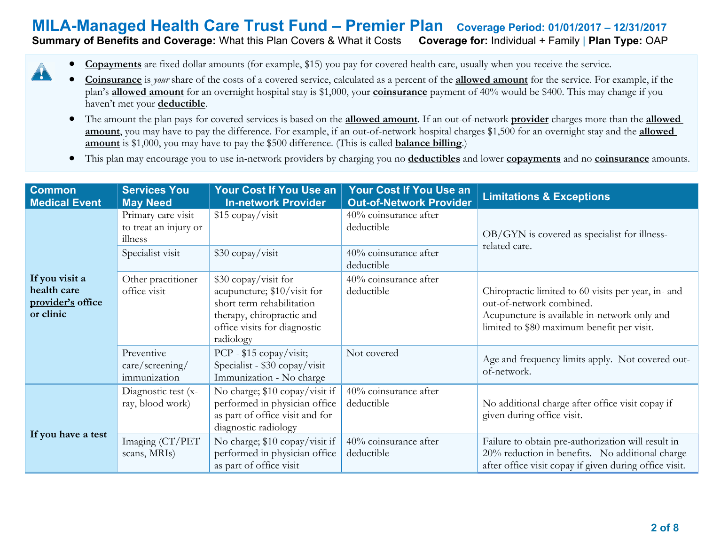#### **Summary of Benefits and Coverage: What this Plan Covers & What it Costs**

• **Copayments** are fixed dollar amounts (for example, \$15) you pay for covered health care, usually when you receive the service.

 $\blacktriangle$ 

- **Coinsurance** is *your* share of the costs of a covered service, calculated as a percent of the **allowed amount** for the service. For example, if the plan's **allowed amount** for an overnight hospital stay is \$1,000, your **coinsurance** payment of 40% would be \$400. This may change if you haven't met your **deductible**.
- The amount the plan pays for covered services is based on the **allowed amount**. If an out-of-network **provider** charges more than the **allowed amount**, you may have to pay the difference. For example, if an out-of-network hospital charges \$1,500 for an overnight stay and the **allowed amount** is \$1,000, you may have to pay the \$500 difference. (This is called **balance billing**.)
- This plan may encourage you to use in-network providers by charging you no **deductibles** and lower **copayments** and no **coinsurance** amounts.

| <b>Common</b><br><b>Medical Event</b>                           | <b>Services You</b><br><b>May Need</b>                 | <b>Your Cost If You Use an</b><br><b>In-network Provider</b>                                                                                               | Your Cost If You Use an<br><b>Out-of-Network Provider</b> | <b>Limitations &amp; Exceptions</b>                                                                                                                                           |
|-----------------------------------------------------------------|--------------------------------------------------------|------------------------------------------------------------------------------------------------------------------------------------------------------------|-----------------------------------------------------------|-------------------------------------------------------------------------------------------------------------------------------------------------------------------------------|
|                                                                 | Primary care visit<br>to treat an injury or<br>illness | \$15 copay/visit                                                                                                                                           | 40% coinsurance after<br>deductible                       | OB/GYN is covered as specialist for illness-<br>related care.                                                                                                                 |
|                                                                 | Specialist visit                                       | $$30$ copay/visit                                                                                                                                          | 40% coinsurance after<br>deductible                       |                                                                                                                                                                               |
| If you visit a<br>health care<br>provider's office<br>or clinic | Other practitioner<br>office visit                     | \$30 copay/visit for<br>acupuncture; \$10/visit for<br>short term rehabilitation<br>therapy, chiropractic and<br>office visits for diagnostic<br>radiology | 40% coinsurance after<br>deductible                       | Chiropractic limited to 60 visits per year, in- and<br>out-of-network combined.<br>Acupuncture is available in-network only and<br>limited to \$80 maximum benefit per visit. |
|                                                                 | Preventive<br>care/screening/<br>immunization          | PCP - $$15$ copay/visit;<br>Specialist - \$30 copay/visit<br>Immunization - No charge                                                                      | Not covered                                               | Age and frequency limits apply. Not covered out-<br>of-network.                                                                                                               |
|                                                                 | Diagnostic test (x-<br>ray, blood work)                | No charge; \$10 copay/visit if<br>performed in physician office<br>as part of office visit and for<br>diagnostic radiology                                 | 40% coinsurance after<br>deductible                       | No additional charge after office visit copay if<br>given during office visit.                                                                                                |
| If you have a test                                              | Imaging (CT/PET<br>scans, MRIs)                        | No charge; \$10 copay/visit if<br>performed in physician office<br>as part of office visit                                                                 | 40% coinsurance after<br>deductible                       | Failure to obtain pre-authorization will result in<br>20% reduction in benefits. No additional charge<br>after office visit copay if given during office visit.               |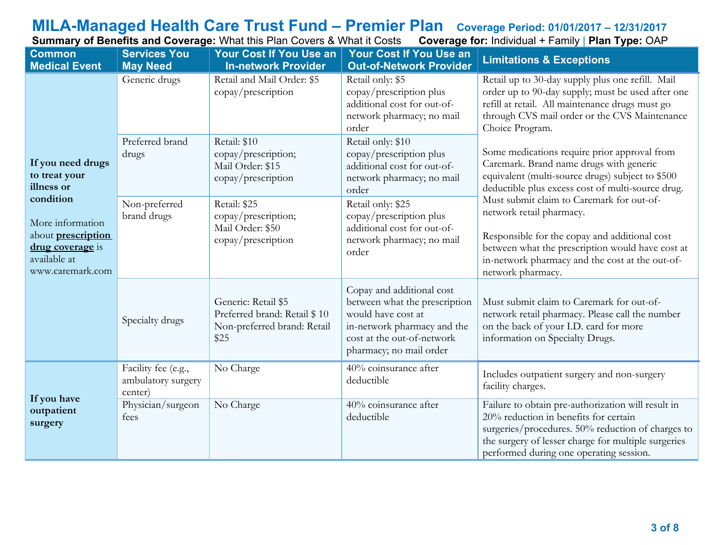# **MILA-Managed Health Care Trust Fund – Premier Plan Coverage Period: 01/01/2017 – 12/31/2017**

**Summary of Benefits and Coverage:** What this Plan Covers & What it Costs **Coverage for:** Individual + Family | **Plan Type:** OAP

| <b>Common</b><br><b>Medical Event</b>                                                                              | <b>Services You</b><br><b>May Need</b>               | <b>Your Cost If You Use an</b><br><b>In-network Provider</b>                               | <b>Your Cost If You Use an</b><br><b>Out-of-Network Provider</b>                                                                                                         | <b>Limitations &amp; Exceptions</b>                                                                                                                                                                                                                                                                                                                                                                                                                    |  |
|--------------------------------------------------------------------------------------------------------------------|------------------------------------------------------|--------------------------------------------------------------------------------------------|--------------------------------------------------------------------------------------------------------------------------------------------------------------------------|--------------------------------------------------------------------------------------------------------------------------------------------------------------------------------------------------------------------------------------------------------------------------------------------------------------------------------------------------------------------------------------------------------------------------------------------------------|--|
|                                                                                                                    | Generic drugs                                        | Retail and Mail Order: \$5<br>copay/prescription                                           | Retail only: \$5<br>copay/prescription plus<br>additional cost for out-of-<br>network pharmacy; no mail<br>order                                                         | Retail up to 30-day supply plus one refill. Mail<br>order up to 90-day supply; must be used after one<br>refill at retail. All maintenance drugs must go<br>through CVS mail order or the CVS Maintenance<br>Choice Program.                                                                                                                                                                                                                           |  |
| If you need drugs<br>to treat your<br>illness or                                                                   | Preferred brand<br>drugs                             | Retail: \$10<br>copay/prescription;<br>Mail Order: \$15<br>copay/prescription              | Retail only: \$10<br>copay/prescription plus<br>additional cost for out-of-<br>network pharmacy; no mail<br>order                                                        | Some medications require prior approval from<br>Caremark. Brand name drugs with generic<br>equivalent (multi-source drugs) subject to \$500<br>deductible plus excess cost of multi-source drug.<br>Must submit claim to Caremark for out-of-<br>network retail pharmacy.<br>Responsible for the copay and additional cost<br>between what the prescription would have cost at<br>in-network pharmacy and the cost at the out-of-<br>network pharmacy. |  |
| condition<br>More information<br>about <b>prescription</b><br>drug coverage is<br>available at<br>www.caremark.com | Non-preferred<br>brand drugs                         | Retail: \$25<br>copay/prescription;<br>Mail Order: \$50<br>copay/prescription              | Retail only: \$25<br>copay/prescription plus<br>additional cost for out-of-<br>network pharmacy; no mail<br>order                                                        |                                                                                                                                                                                                                                                                                                                                                                                                                                                        |  |
|                                                                                                                    | Specialty drugs                                      | Generic: Retail \$5<br>Preferred brand: Retail \$10<br>Non-preferred brand: Retail<br>\$25 | Copay and additional cost<br>between what the prescription<br>would have cost at<br>in-network pharmacy and the<br>cost at the out-of-network<br>pharmacy; no mail order | Must submit claim to Caremark for out-of-<br>network retail pharmacy. Please call the number<br>on the back of your I.D. card for more<br>information on Specialty Drugs.                                                                                                                                                                                                                                                                              |  |
|                                                                                                                    | Facility fee (e.g.,<br>ambulatory surgery<br>center) | No Charge                                                                                  | 40% coinsurance after<br>deductible                                                                                                                                      | Includes outpatient surgery and non-surgery<br>facility charges.                                                                                                                                                                                                                                                                                                                                                                                       |  |
| If you have<br>outpatient<br>surgery                                                                               | Physician/surgeon<br>fees                            | No Charge                                                                                  | 40% coinsurance after<br>deductible                                                                                                                                      | Failure to obtain pre-authorization will result in<br>20% reduction in benefits for certain<br>surgeries/procedures. 50% reduction of charges to<br>the surgery of lesser charge for multiple surgeries<br>performed during one operating session.                                                                                                                                                                                                     |  |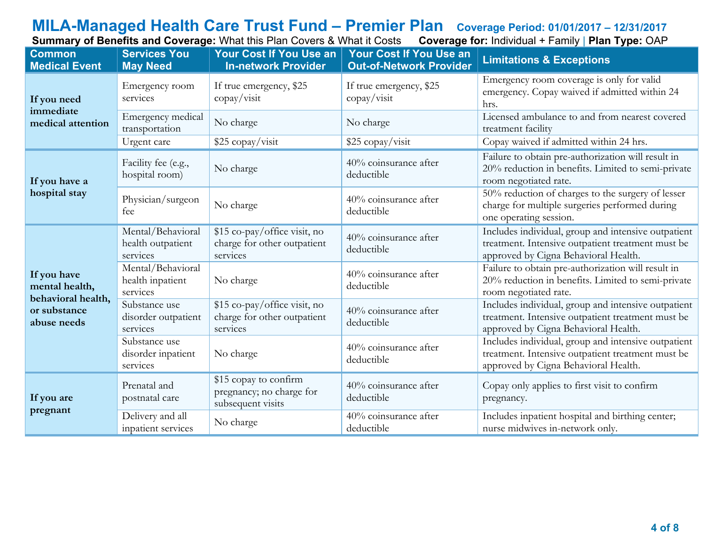# **MILA-Managed Health Care Trust Fund – Premier Plan Coverage Period: 01/01/2017 – 12/31/2017**

**Summary of Benefits and Coverage:** What this Plan Covers & What it Costs **Coverage for:** Individual + Family | **Plan Type:** OAP

| <b>Common</b><br><b>Medical Event</b>               | <b>Services You</b><br><b>May Need</b>             | Your Cost If You Use an<br><b>In-network Provider</b>                   | Your Cost If You Use an<br><b>Out-of-Network Provider</b> | <b>Limitations &amp; Exceptions</b>                                                                                                              |
|-----------------------------------------------------|----------------------------------------------------|-------------------------------------------------------------------------|-----------------------------------------------------------|--------------------------------------------------------------------------------------------------------------------------------------------------|
| If you need                                         | Emergency room<br>services                         | If true emergency, \$25<br>$\text{copy}/\text{visit}$                   | If true emergency, \$25<br>$\text{copy}/\text{visit}$     | Emergency room coverage is only for valid<br>emergency. Copay waived if admitted within 24<br>hrs.                                               |
| immediate<br>medical attention                      | Emergency medical<br>transportation                | No charge                                                               | No charge                                                 | Licensed ambulance to and from nearest covered<br>treatment facility                                                                             |
|                                                     | Urgent care                                        | \$25 copay/visit                                                        | \$25 copay/visit                                          | Copay waived if admitted within 24 hrs.                                                                                                          |
| If you have a                                       | Facility fee (e.g.,<br>hospital room)              | No charge                                                               | 40% coinsurance after<br>deductible                       | Failure to obtain pre-authorization will result in<br>20% reduction in benefits. Limited to semi-private<br>room negotiated rate.                |
| hospital stay                                       | Physician/surgeon<br>fee                           | No charge                                                               | 40% coinsurance after<br>deductible                       | 50% reduction of charges to the surgery of lesser<br>charge for multiple surgeries performed during<br>one operating session.                    |
|                                                     | Mental/Behavioral<br>health outpatient<br>services | \$15 co-pay/office visit, no<br>charge for other outpatient<br>services | 40% coinsurance after<br>deductible                       | Includes individual, group and intensive outpatient<br>treatment. Intensive outpatient treatment must be<br>approved by Cigna Behavioral Health. |
| If you have<br>mental health,<br>behavioral health, | Mental/Behavioral<br>health inpatient<br>services  | No charge                                                               | 40% coinsurance after<br>deductible                       | Failure to obtain pre-authorization will result in<br>20% reduction in benefits. Limited to semi-private<br>room negotiated rate.                |
| or substance<br>abuse needs                         | Substance use<br>disorder outpatient<br>services   | \$15 co-pay/office visit, no<br>charge for other outpatient<br>services | 40% coinsurance after<br>deductible                       | Includes individual, group and intensive outpatient<br>treatment. Intensive outpatient treatment must be<br>approved by Cigna Behavioral Health. |
|                                                     | Substance use<br>disorder inpatient<br>services    | No charge                                                               | 40% coinsurance after<br>deductible                       | Includes individual, group and intensive outpatient<br>treatment. Intensive outpatient treatment must be<br>approved by Cigna Behavioral Health. |
| If you are                                          | Prenatal and<br>postnatal care                     | \$15 copay to confirm<br>pregnancy; no charge for<br>subsequent visits  | 40% coinsurance after<br>deductible                       | Copay only applies to first visit to confirm<br>pregnancy.                                                                                       |
| pregnant                                            | Delivery and all<br>inpatient services             | No charge                                                               | 40% coinsurance after<br>deductible                       | Includes inpatient hospital and birthing center;<br>nurse midwives in-network only.                                                              |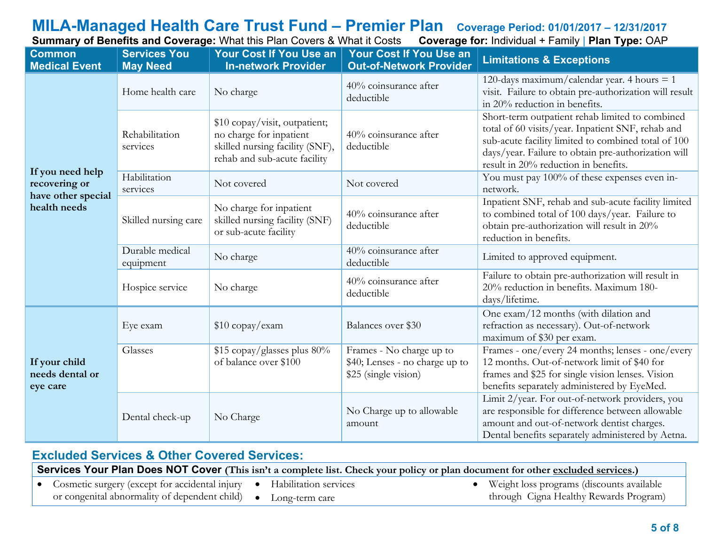**Summary of Benefits and Coverage: What this Plan Covers & What it Costs** 

| <b>Common</b><br><b>Medical Event</b>                                   | <b>Services You</b><br><b>May Need</b>                          | <b>Your Cost If You Use an</b><br><b>In-network Provider</b>                                                                | <b>Your Cost If You Use an</b><br><b>Out-of-Network Provider</b>                   | <b>Limitations &amp; Exceptions</b>                                                                                                                                                                                                                        |
|-------------------------------------------------------------------------|-----------------------------------------------------------------|-----------------------------------------------------------------------------------------------------------------------------|------------------------------------------------------------------------------------|------------------------------------------------------------------------------------------------------------------------------------------------------------------------------------------------------------------------------------------------------------|
|                                                                         | Home health care                                                | No charge                                                                                                                   | 40% coinsurance after<br>deductible                                                | 120-days maximum/calendar year. 4 hours $= 1$<br>visit. Failure to obtain pre-authorization will result<br>in 20% reduction in benefits.                                                                                                                   |
|                                                                         | Rehabilitation<br>services                                      | \$10 copay/visit, outpatient;<br>no charge for inpatient<br>skilled nursing facility (SNF),<br>rehab and sub-acute facility | 40% coinsurance after<br>deductible                                                | Short-term outpatient rehab limited to combined<br>total of 60 visits/year. Inpatient SNF, rehab and<br>sub-acute facility limited to combined total of 100<br>days/year. Failure to obtain pre-authorization will<br>result in 20% reduction in benefits. |
| If you need help<br>recovering or<br>have other special<br>health needs | Habilitation<br>services                                        | Not covered                                                                                                                 | Not covered                                                                        | You must pay 100% of these expenses even in-<br>network.                                                                                                                                                                                                   |
|                                                                         | Skilled nursing care                                            | No charge for inpatient<br>skilled nursing facility (SNF)<br>or sub-acute facility                                          | 40% coinsurance after<br>deductible                                                | Inpatient SNF, rehab and sub-acute facility limited<br>to combined total of 100 days/year. Failure to<br>obtain pre-authorization will result in 20%<br>reduction in benefits.                                                                             |
|                                                                         | Durable medical<br>equipment                                    | No charge                                                                                                                   | 40% coinsurance after<br>deductible                                                | Limited to approved equipment.                                                                                                                                                                                                                             |
|                                                                         | Hospice service                                                 | No charge                                                                                                                   | 40% coinsurance after<br>deductible                                                | Failure to obtain pre-authorization will result in<br>20% reduction in benefits. Maximum 180-<br>days/lifetime.                                                                                                                                            |
|                                                                         | Eye exam                                                        | \$10 copay/exam                                                                                                             | Balances over \$30                                                                 | One exam/12 months (with dilation and<br>refraction as necessary). Out-of-network<br>maximum of \$30 per exam.                                                                                                                                             |
| If your child<br>needs dental or<br>eye care                            | \$15 copay/glasses plus 80%<br>Glasses<br>of balance over \$100 |                                                                                                                             | Frames - No charge up to<br>\$40; Lenses - no charge up to<br>\$25 (single vision) | Frames - one/every 24 months; lenses - one/every<br>12 months. Out-of-network limit of \$40 for<br>frames and \$25 for single vision lenses. Vision<br>benefits separately administered by EyeMed.                                                         |
|                                                                         | Dental check-up                                                 | No Charge                                                                                                                   | No Charge up to allowable<br>amount                                                | Limit 2/year. For out-of-network providers, you<br>are responsible for difference between allowable<br>amount and out-of-network dentist charges.<br>Dental benefits separately administered by Aetna.                                                     |

# **Excluded Services & Other Covered Services:**

| Services Your Plan Does NOT Cover (This isn't a complete list. Check your policy or plan document for other excluded services.) |  |  |  |                                                        |
|---------------------------------------------------------------------------------------------------------------------------------|--|--|--|--------------------------------------------------------|
| • Cosmetic surgery (except for accidental injury • Habilitation services                                                        |  |  |  | • Weight loss programs (discounts available            |
|                                                                                                                                 |  |  |  | $A = 1 \, C'$ II $1.1 \, D = 1 \, D \quad \rightarrow$ |

or congenital abnormality of dependent child)

• Long-term care

through Cigna Healthy Rewards Program)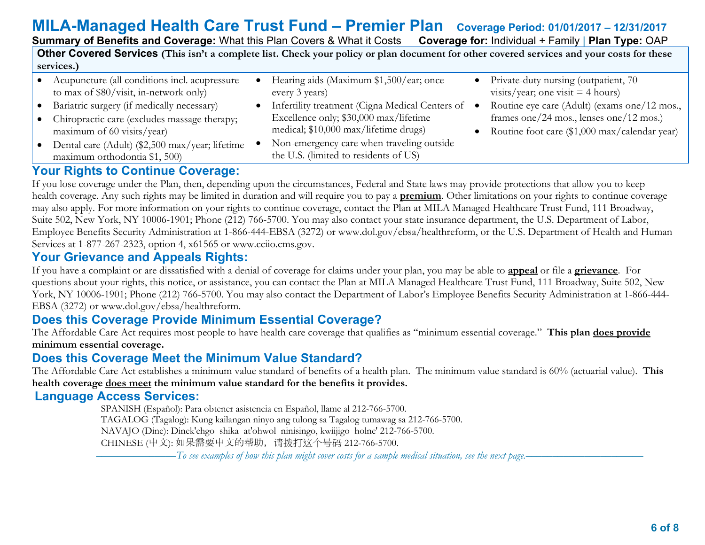# **MILA-Managed Health Care Trust Fund – Premier Plan Coverage Period: 01/01/2017 – 12/31/2017**

| <b>Summary of Benefits and Coverage: What this Plan Covers &amp; What it Costs</b>                                                         |                                                                                                                                      | <b>Coverage for: Individual + Family   Plan Type: OAP</b>                                                                                |  |  |
|--------------------------------------------------------------------------------------------------------------------------------------------|--------------------------------------------------------------------------------------------------------------------------------------|------------------------------------------------------------------------------------------------------------------------------------------|--|--|
| Other Covered Services (This isn't a complete list. Check your policy or plan document for other covered services and your costs for these |                                                                                                                                      |                                                                                                                                          |  |  |
| services.)                                                                                                                                 |                                                                                                                                      |                                                                                                                                          |  |  |
| Acupuncture (all conditions incl. acupressure<br>to max of \$80/visit, in-network only)                                                    | Hearing aids (Maximum \$1,500/ear; once<br>every 3 years)                                                                            | Private-duty nursing (outpatient, 70)<br>visits/year; one visit $=$ 4 hours)                                                             |  |  |
| Bariatric surgery (if medically necessary)<br>Chiropractic care (excludes massage therapy;<br>maximum of 60 visits/year)                   | Infertility treatment (Cigna Medical Centers of •<br>Excellence only; \$30,000 max/lifetime<br>medical; \$10,000 max/lifetime drugs) | Routine eye care (Adult) (exams one/12 mos.,<br>frames one/24 mos., lenses one/12 mos.)<br>Routine foot care (\$1,000 max/calendar year) |  |  |
| Dental care (Adult) (\$2,500 max/year; lifetime<br>maximum orthodontia \$1, 500)                                                           | Non-emergency care when traveling outside<br>the U.S. (limited to residents of US)                                                   |                                                                                                                                          |  |  |

# **Your Rights to Continue Coverage:**

If you lose coverage under the Plan, then, depending upon the circumstances, Federal and State laws may provide protections that allow you to keep health coverage. Any such rights may be limited in duration and will require you to pay a **premium**. Other limitations on your rights to continue coverage may also apply. For more information on your rights to continue coverage, contact the Plan at MILA Managed Healthcare Trust Fund, 111 Broadway, Suite 502, New York, NY 10006-1901; Phone (212) 766-5700. You may also contact your state insurance department, the U.S. Department of Labor, Employee Benefits Security Administration at 1-866-444-EBSA (3272) or www.dol.gov/ebsa/healthreform, or the U.S. Department of Health and Human Services at 1-877-267-2323, option 4, x61565 or www.cciio.cms.gov.

## **Your Grievance and Appeals Rights:**

If you have a complaint or are dissatisfied with a denial of coverage for claims under your plan, you may be able to **appeal** or file a **grievance**. For questions about your rights, this notice, or assistance, you can contact the Plan at MILA Managed Healthcare Trust Fund, 111 Broadway, Suite 502, New York, NY 10006-1901; Phone (212) 766-5700. You may also contact the Department of Labor's Employee Benefits Security Administration at 1-866-444- EBSA (3272) or www.dol.gov/ebsa/healthreform.

## **Does this Coverage Provide Minimum Essential Coverage?**

The Affordable Care Act requires most people to have health care coverage that qualifies as "minimum essential coverage." **This plan does provide minimum essential coverage.**

## **Does this Coverage Meet the Minimum Value Standard?**

The Affordable Care Act establishes a minimum value standard of benefits of a health plan. The minimum value standard is 60% (actuarial value). **This health coverage does meet the minimum value standard for the benefits it provides.** 

### **Language Access Services:**

 SPANISH (Español): Para obtener asistencia en Español, llame al 212-766-5700. TAGALOG (Tagalog): Kung kailangan ninyo ang tulong sa Tagalog tumawag sa 212-766-5700. NAVAJO (Dine): Dinek'ehgo shika at'ohwol ninisingo, kwiijigo holne' 212-766-5700. CHINESE (中文): 如果需要中文的帮助,请拨打这个号码 212-766-5700.

–––––––––––––––*To see examples of how this plan might cover costs for a sample medical situation, see the next page.–––––––––––*–––––––––––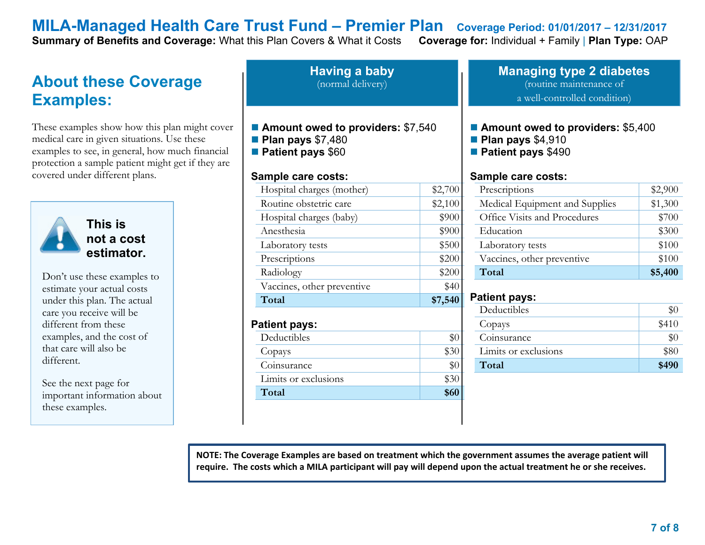**Summary of Benefits and Coverage: What this Plan Covers & What it Costs** 

# **About these Coverage Examples:**

These examples show how this plan might cover medical care in given situations. Use these examples to see, in general, how much financial protection a sample patient might get if they are covered under different plans.



**This is not a cost estimator.** 

Don't use these examples to estimate your actual costs under this plan. The actual care you receive will be different from these examples, and the cost of that care will also be different.

See the next page for important information about these examples.

**Having a baby** (normal delivery)

- Amount owed to providers: \$7,540
- **Plan pays** \$7,480
- **Patient pays** \$60

#### **Sample care costs:**

| Hospital charges (mother)  | \$2,700 |
|----------------------------|---------|
| Routine obstetric care     | \$2,100 |
| Hospital charges (baby)    | \$900   |
| Anesthesia                 | \$900   |
| Laboratory tests           | \$500   |
| Prescriptions              | \$200   |
| Radiology                  | \$200   |
| Vaccines, other preventive | \$40    |
| Total                      | \$7,540 |
|                            |         |

#### **Patient pays:**

| Deductibles          |      |
|----------------------|------|
| Copays               |      |
| Coinsurance          |      |
| Limits or exclusions |      |
| Total                | \$60 |

#### **Managing type 2 diabetes** (routine maintenance of a well-controlled condition)

#### ■ **Amount owed to providers: \$5,400**

- **Plan pays** \$4,910
- **Patient pays** \$490

#### **Sample care costs:**

| Prescriptions                  | \$2,900 |
|--------------------------------|---------|
| Medical Equipment and Supplies | \$1,300 |
| Office Visits and Procedures   | \$700   |
| Education                      | \$300   |
| Laboratory tests               | \$100   |
| Vaccines, other preventive     | \$100   |
| Total                          | \$5,400 |

#### **Patient pays:**

| Deductibles          |       |
|----------------------|-------|
| Copays               | \$410 |
| Coinsurance          |       |
| Limits or exclusions | \$80  |
| Total                | \$490 |
|                      |       |

**NOTE: The Coverage Examples are based on treatment which the government assumes the average patient will require. The costs which a MILA participant will pay will depend upon the actual treatment he or she receives.**